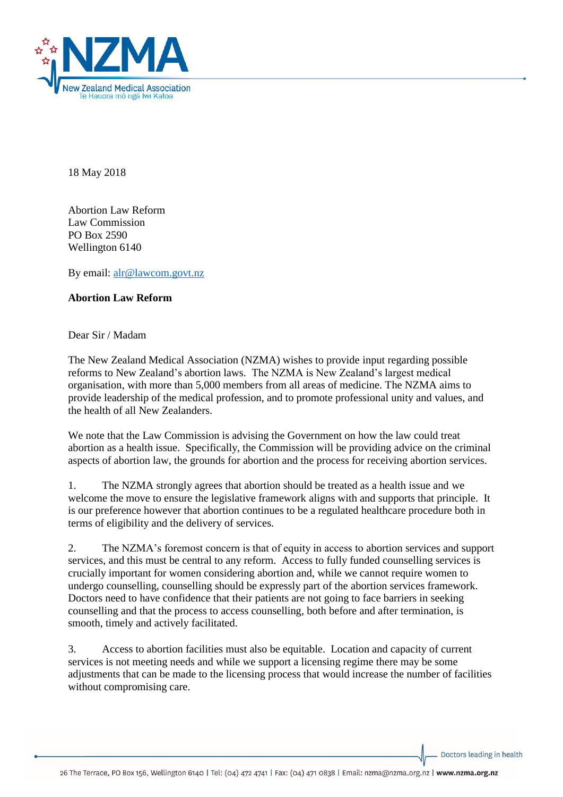

18 May 2018

Abortion Law Reform Law Commission PO Box 2590 Wellington 6140

By email: [alr@lawcom.govt.nz](mailto:alr@lawcom.govt.nz)

## **Abortion Law Reform**

Dear Sir / Madam

The New Zealand Medical Association (NZMA) wishes to provide input regarding possible reforms to New Zealand's abortion laws. The NZMA is New Zealand's largest medical organisation, with more than 5,000 members from all areas of medicine. The NZMA aims to provide leadership of the medical profession, and to promote professional unity and values, and the health of all New Zealanders.

We note that the Law Commission is advising the Government on how the law could treat abortion as a health issue. Specifically, the Commission will be providing advice on the criminal aspects of abortion law, the grounds for abortion and the process for receiving abortion services.

1. The NZMA strongly agrees that abortion should be treated as a health issue and we welcome the move to ensure the legislative framework aligns with and supports that principle. It is our preference however that abortion continues to be a regulated healthcare procedure both in terms of eligibility and the delivery of services.

2. The NZMA's foremost concern is that of equity in access to abortion services and support services, and this must be central to any reform. Access to fully funded counselling services is crucially important for women considering abortion and, while we cannot require women to undergo counselling, counselling should be expressly part of the abortion services framework. Doctors need to have confidence that their patients are not going to face barriers in seeking counselling and that the process to access counselling, both before and after termination, is smooth, timely and actively facilitated.

3. Access to abortion facilities must also be equitable. Location and capacity of current services is not meeting needs and while we support a licensing regime there may be some adjustments that can be made to the licensing process that would increase the number of facilities without compromising care.

Doctors leading in health